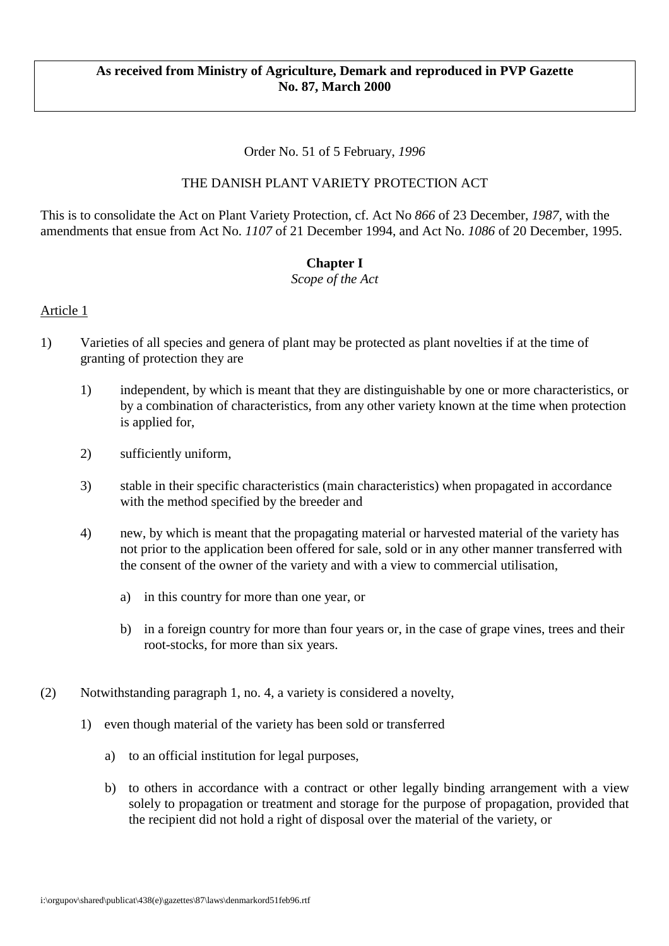#### **As received from Ministry of Agriculture, Demark and reproduced in PVP Gazette No. 87, March 2000**

#### Order No. 51 of 5 February, *1996*

#### THE DANISH PLANT VARIETY PROTECTION ACT

This is to consolidate the Act on Plant Variety Protection, cf. Act No *866* of 23 December, *1987,* with the amendments that ensue from Act No. *1107* of 21 December 1994, and Act No. *1086* of 20 December, 1995.

#### **Chapter I**

*Scope of the Act*

- 1) Varieties of all species and genera of plant may be protected as plant novelties if at the time of granting of protection they are
	- 1) independent, by which is meant that they are distinguishable by one or more characteristics, or by a combination of characteristics, from any other variety known at the time when protection is applied for,
	- 2) sufficiently uniform,
	- 3) stable in their specific characteristics (main characteristics) when propagated in accordance with the method specified by the breeder and
	- 4) new, by which is meant that the propagating material or harvested material of the variety has not prior to the application been offered for sale, sold or in any other manner transferred with the consent of the owner of the variety and with a view to commercial utilisation,
		- a) in this country for more than one year, or
		- b) in a foreign country for more than four years or, in the case of grape vines, trees and their root-stocks, for more than six years.
- (2) Notwithstanding paragraph 1, no. 4, a variety is considered a novelty,
	- 1) even though material of the variety has been sold or transferred
		- a) to an official institution for legal purposes,
		- b) to others in accordance with a contract or other legally binding arrangement with a view solely to propagation or treatment and storage for the purpose of propagation, provided that the recipient did not hold a right of disposal over the material of the variety, or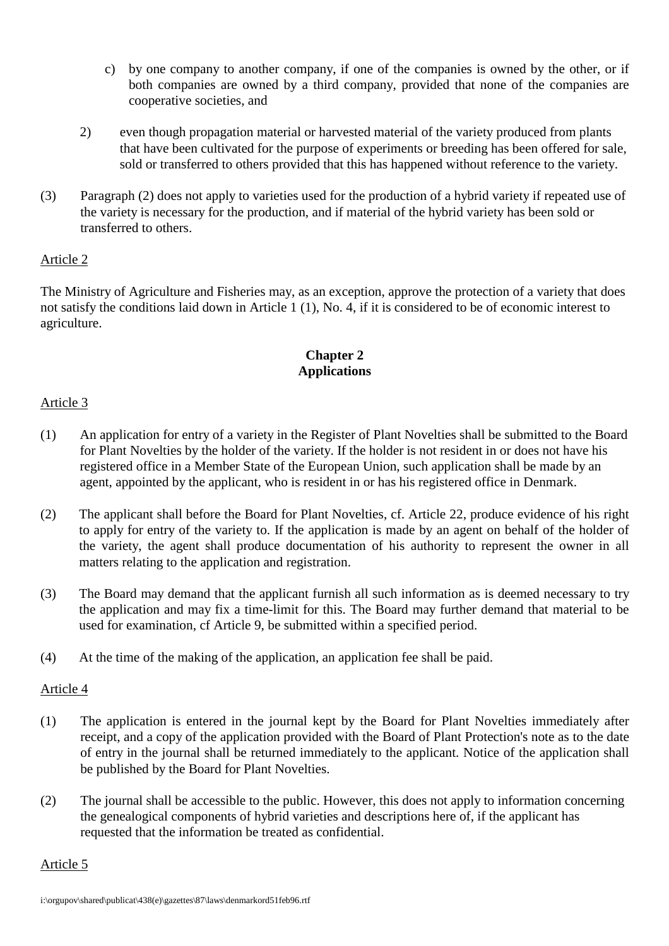- c) by one company to another company, if one of the companies is owned by the other, or if both companies are owned by a third company, provided that none of the companies are cooperative societies, and
- 2) even though propagation material or harvested material of the variety produced from plants that have been cultivated for the purpose of experiments or breeding has been offered for sale, sold or transferred to others provided that this has happened without reference to the variety.
- (3) Paragraph (2) does not apply to varieties used for the production of a hybrid variety if repeated use of the variety is necessary for the production, and if material of the hybrid variety has been sold or transferred to others.

The Ministry of Agriculture and Fisheries may, as an exception, approve the protection of a variety that does not satisfy the conditions laid down in Article 1 (1), No. 4, if it is considered to be of economic interest to agriculture.

# **Chapter 2 Applications**

## Article 3

- (1) An application for entry of a variety in the Register of Plant Novelties shall be submitted to the Board for Plant Novelties by the holder of the variety. If the holder is not resident in or does not have his registered office in a Member State of the European Union, such application shall be made by an agent, appointed by the applicant, who is resident in or has his registered office in Denmark.
- (2) The applicant shall before the Board for Plant Novelties, cf. Article 22, produce evidence of his right to apply for entry of the variety to. If the application is made by an agent on behalf of the holder of the variety, the agent shall produce documentation of his authority to represent the owner in all matters relating to the application and registration.
- (3) The Board may demand that the applicant furnish all such information as is deemed necessary to try the application and may fix a time-limit for this. The Board may further demand that material to be used for examination, cf Article 9, be submitted within a specified period.
- (4) At the time of the making of the application, an application fee shall be paid.

## Article 4

- (1) The application is entered in the journal kept by the Board for Plant Novelties immediately after receipt, and a copy of the application provided with the Board of Plant Protection's note as to the date of entry in the journal shall be returned immediately to the applicant. Notice of the application shall be published by the Board for Plant Novelties.
- (2) The journal shall be accessible to the public. However, this does not apply to information concerning the genealogical components of hybrid varieties and descriptions here of, if the applicant has requested that the information be treated as confidential.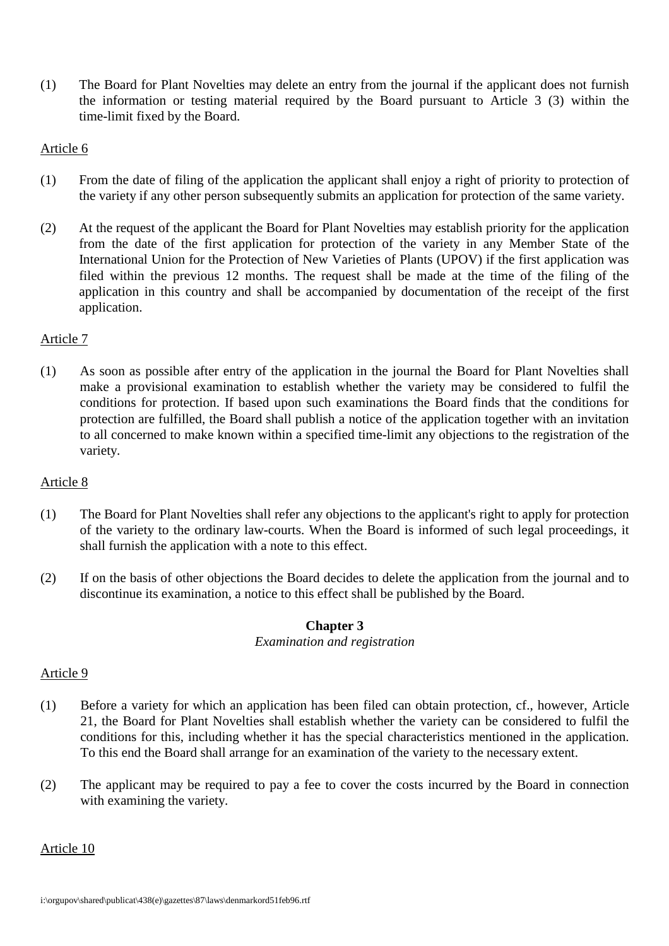(1) The Board for Plant Novelties may delete an entry from the journal if the applicant does not furnish the information or testing material required by the Board pursuant to Article 3 (3) within the time-limit fixed by the Board.

# Article 6

- (1) From the date of filing of the application the applicant shall enjoy a right of priority to protection of the variety if any other person subsequently submits an application for protection of the same variety.
- (2) At the request of the applicant the Board for Plant Novelties may establish priority for the application from the date of the first application for protection of the variety in any Member State of the International Union for the Protection of New Varieties of Plants (UPOV) if the first application was filed within the previous 12 months. The request shall be made at the time of the filing of the application in this country and shall be accompanied by documentation of the receipt of the first application.

## Article 7

(1) As soon as possible after entry of the application in the journal the Board for Plant Novelties shall make a provisional examination to establish whether the variety may be considered to fulfil the conditions for protection. If based upon such examinations the Board finds that the conditions for protection are fulfilled, the Board shall publish a notice of the application together with an invitation to all concerned to make known within a specified time-limit any objections to the registration of the variety.

## Article 8

- (1) The Board for Plant Novelties shall refer any objections to the applicant's right to apply for protection of the variety to the ordinary law-courts. When the Board is informed of such legal proceedings, it shall furnish the application with a note to this effect.
- (2) If on the basis of other objections the Board decides to delete the application from the journal and to discontinue its examination, a notice to this effect shall be published by the Board.

# **Chapter 3**

#### *Examination and registration*

## Article 9

- (1) Before a variety for which an application has been filed can obtain protection, cf., however, Article 21, the Board for Plant Novelties shall establish whether the variety can be considered to fulfil the conditions for this, including whether it has the special characteristics mentioned in the application. To this end the Board shall arrange for an examination of the variety to the necessary extent.
- (2) The applicant may be required to pay a fee to cover the costs incurred by the Board in connection with examining the variety.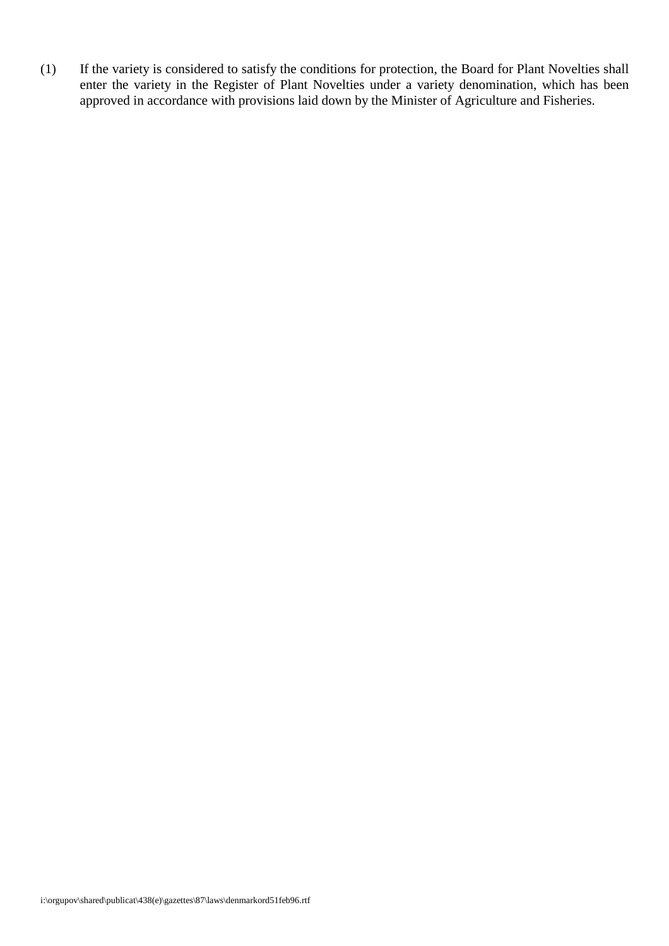(1) If the variety is considered to satisfy the conditions for protection, the Board for Plant Novelties shall enter the variety in the Register of Plant Novelties under a variety denomination, which has been approved in accordance with provisions laid down by the Minister of Agriculture and Fisheries.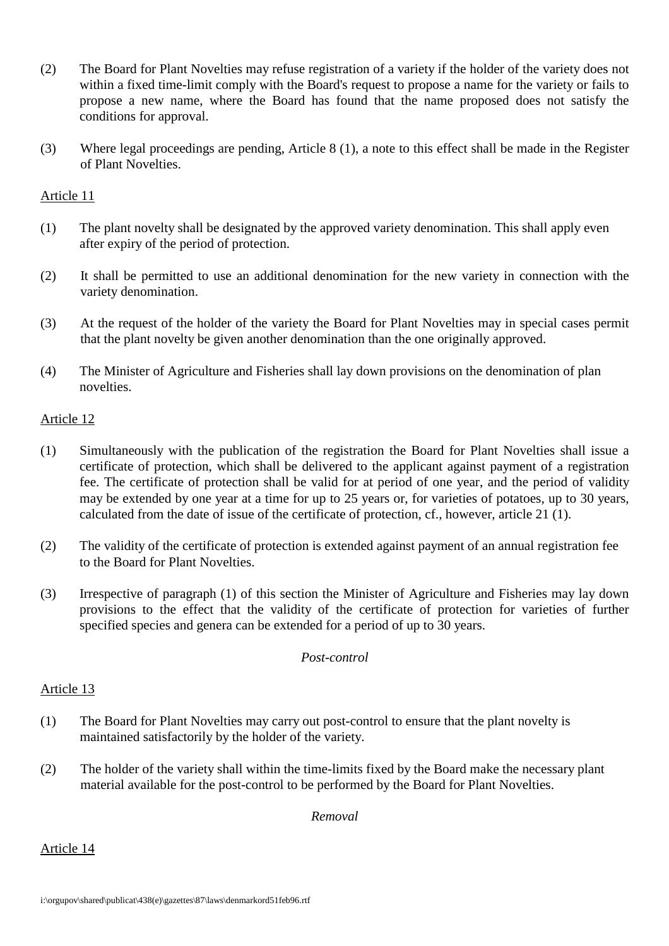- (2) The Board for Plant Novelties may refuse registration of a variety if the holder of the variety does not within a fixed time-limit comply with the Board's request to propose a name for the variety or fails to propose a new name, where the Board has found that the name proposed does not satisfy the conditions for approval.
- (3) Where legal proceedings are pending, Article 8 (1), a note to this effect shall be made in the Register of Plant Novelties.

- (1) The plant novelty shall be designated by the approved variety denomination. This shall apply even after expiry of the period of protection.
- (2) It shall be permitted to use an additional denomination for the new variety in connection with the variety denomination.
- (3) At the request of the holder of the variety the Board for Plant Novelties may in special cases permit that the plant novelty be given another denomination than the one originally approved.
- (4) The Minister of Agriculture and Fisheries shall lay down provisions on the denomination of plan novelties.

## Article 12

- (1) Simultaneously with the publication of the registration the Board for Plant Novelties shall issue a certificate of protection, which shall be delivered to the applicant against payment of a registration fee. The certificate of protection shall be valid for at period of one year, and the period of validity may be extended by one year at a time for up to 25 years or, for varieties of potatoes, up to 30 years, calculated from the date of issue of the certificate of protection, cf., however, article 21 (1).
- (2) The validity of the certificate of protection is extended against payment of an annual registration fee to the Board for Plant Novelties.
- (3) Irrespective of paragraph (1) of this section the Minister of Agriculture and Fisheries may lay down provisions to the effect that the validity of the certificate of protection for varieties of further specified species and genera can be extended for a period of up to 30 years.

#### *Post-control*

## Article 13

- (1) The Board for Plant Novelties may carry out post-control to ensure that the plant novelty is maintained satisfactorily by the holder of the variety.
- (2) The holder of the variety shall within the time-limits fixed by the Board make the necessary plant material available for the post-control to be performed by the Board for Plant Novelties.

*Removal*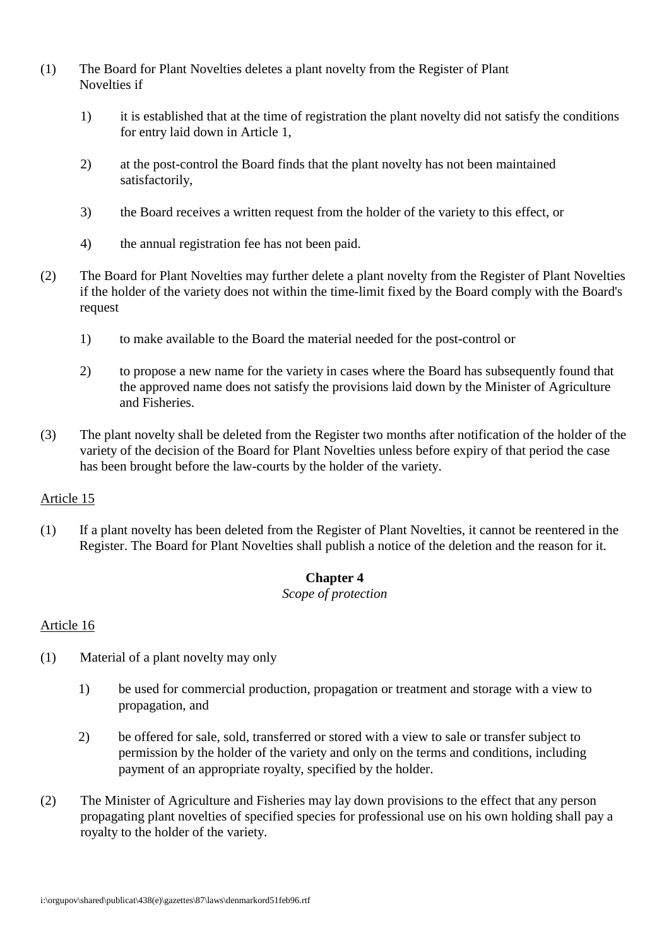- (1) The Board for Plant Novelties deletes a plant novelty from the Register of Plant Novelties if
	- 1) it is established that at the time of registration the plant novelty did not satisfy the conditions for entry laid down in Article 1,
	- 2) at the post-control the Board finds that the plant novelty has not been maintained satisfactorily,
	- 3) the Board receives a written request from the holder of the variety to this effect, or
	- 4) the annual registration fee has not been paid.
- (2) The Board for Plant Novelties may further delete a plant novelty from the Register of Plant Novelties if the holder of the variety does not within the time-limit fixed by the Board comply with the Board's request
	- 1) to make available to the Board the material needed for the post-control or
	- 2) to propose a new name for the variety in cases where the Board has subsequently found that the approved name does not satisfy the provisions laid down by the Minister of Agriculture and Fisheries.
- (3) The plant novelty shall be deleted from the Register two months after notification of the holder of the variety of the decision of the Board for Plant Novelties unless before expiry of that period the case has been brought before the law-courts by the holder of the variety.

(1) If a plant novelty has been deleted from the Register of Plant Novelties, it cannot be reentered in the Register. The Board for Plant Novelties shall publish a notice of the deletion and the reason for it.

## **Chapter 4**

#### *Scope of protection*

- (1) Material of a plant novelty may only
	- 1) be used for commercial production, propagation or treatment and storage with a view to propagation, and
	- 2) be offered for sale, sold, transferred or stored with a view to sale or transfer subject to permission by the holder of the variety and only on the terms and conditions, including payment of an appropriate royalty, specified by the holder.
- (2) The Minister of Agriculture and Fisheries may lay down provisions to the effect that any person propagating plant novelties of specified species for professional use on his own holding shall pay a royalty to the holder of the variety.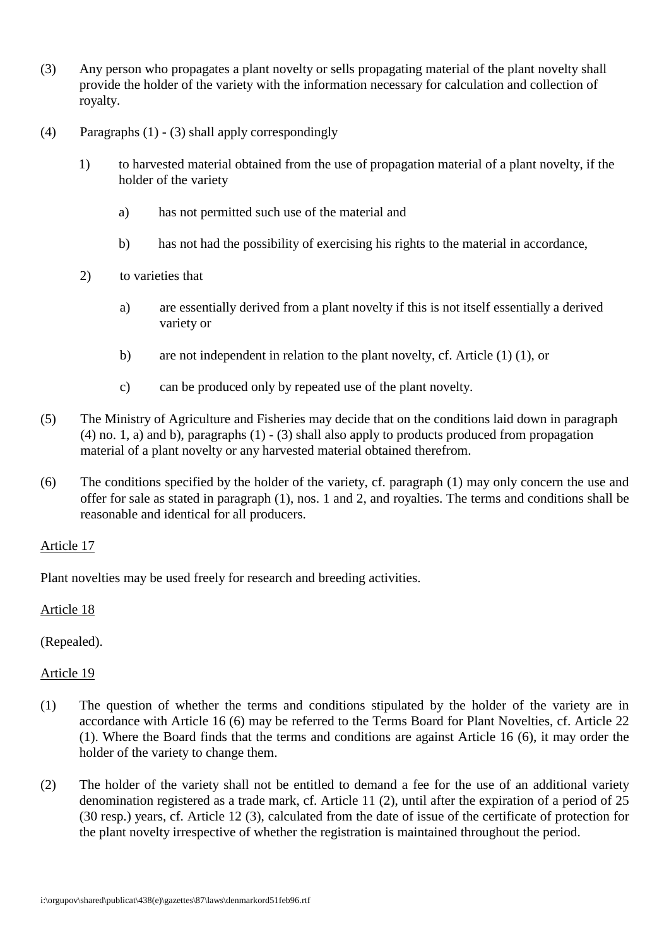- (3) Any person who propagates a plant novelty or sells propagating material of the plant novelty shall provide the holder of the variety with the information necessary for calculation and collection of royalty.
- (4) Paragraphs (1) (3) shall apply correspondingly
	- 1) to harvested material obtained from the use of propagation material of a plant novelty, if the holder of the variety
		- a) has not permitted such use of the material and
		- b) has not had the possibility of exercising his rights to the material in accordance,
	- 2) to varieties that
		- a) are essentially derived from a plant novelty if this is not itself essentially a derived variety or
		- b) are not independent in relation to the plant novelty, cf. Article (1) (1), or
		- c) can be produced only by repeated use of the plant novelty.
- (5) The Ministry of Agriculture and Fisheries may decide that on the conditions laid down in paragraph (4) no. 1, a) and b), paragraphs (1) - (3) shall also apply to products produced from propagation material of a plant novelty or any harvested material obtained therefrom.
- (6) The conditions specified by the holder of the variety, cf. paragraph (1) may only concern the use and offer for sale as stated in paragraph (1), nos. 1 and 2, and royalties. The terms and conditions shall be reasonable and identical for all producers.

Plant novelties may be used freely for research and breeding activities.

#### Article 18

(Repealed).

- (1) The question of whether the terms and conditions stipulated by the holder of the variety are in accordance with Article 16 (6) may be referred to the Terms Board for Plant Novelties, cf. Article 22 (1). Where the Board finds that the terms and conditions are against Article 16 (6), it may order the holder of the variety to change them.
- (2) The holder of the variety shall not be entitled to demand a fee for the use of an additional variety denomination registered as a trade mark, cf. Article 11 (2), until after the expiration of a period of 25 (30 resp.) years, cf. Article 12 (3), calculated from the date of issue of the certificate of protection for the plant novelty irrespective of whether the registration is maintained throughout the period.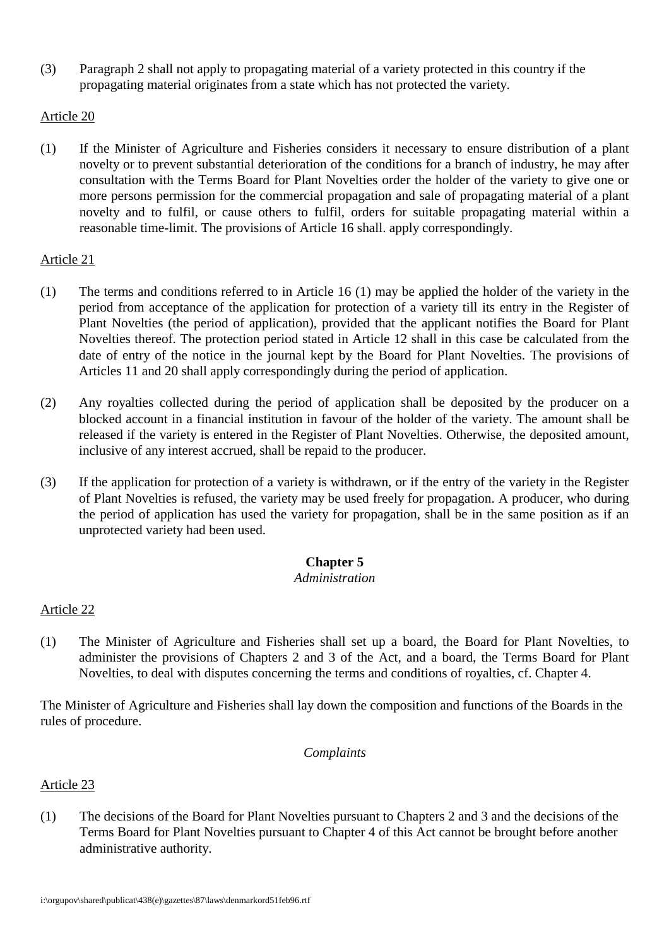(3) Paragraph 2 shall not apply to propagating material of a variety protected in this country if the propagating material originates from a state which has not protected the variety.

## Article 20

(1) If the Minister of Agriculture and Fisheries considers it necessary to ensure distribution of a plant novelty or to prevent substantial deterioration of the conditions for a branch of industry, he may after consultation with the Terms Board for Plant Novelties order the holder of the variety to give one or more persons permission for the commercial propagation and sale of propagating material of a plant novelty and to fulfil, or cause others to fulfil, orders for suitable propagating material within a reasonable time-limit. The provisions of Article 16 shall. apply correspondingly.

#### Article 21

- (1) The terms and conditions referred to in Article 16 (1) may be applied the holder of the variety in the period from acceptance of the application for protection of a variety till its entry in the Register of Plant Novelties (the period of application), provided that the applicant notifies the Board for Plant Novelties thereof. The protection period stated in Article 12 shall in this case be calculated from the date of entry of the notice in the journal kept by the Board for Plant Novelties. The provisions of Articles 11 and 20 shall apply correspondingly during the period of application.
- (2) Any royalties collected during the period of application shall be deposited by the producer on a blocked account in a financial institution in favour of the holder of the variety. The amount shall be released if the variety is entered in the Register of Plant Novelties. Otherwise, the deposited amount, inclusive of any interest accrued, shall be repaid to the producer.
- (3) If the application for protection of a variety is withdrawn, or if the entry of the variety in the Register of Plant Novelties is refused, the variety may be used freely for propagation. A producer, who during the period of application has used the variety for propagation, shall be in the same position as if an unprotected variety had been used.

## **Chapter 5**

#### *Administration*

## Article 22

(1) The Minister of Agriculture and Fisheries shall set up a board, the Board for Plant Novelties, to administer the provisions of Chapters 2 and 3 of the Act, and a board, the Terms Board for Plant Novelties, to deal with disputes concerning the terms and conditions of royalties, cf. Chapter 4.

The Minister of Agriculture and Fisheries shall lay down the composition and functions of the Boards in the rules of procedure.

#### *Complaints*

Article 23

(1) The decisions of the Board for Plant Novelties pursuant to Chapters 2 and 3 and the decisions of the Terms Board for Plant Novelties pursuant to Chapter 4 of this Act cannot be brought before another administrative authority.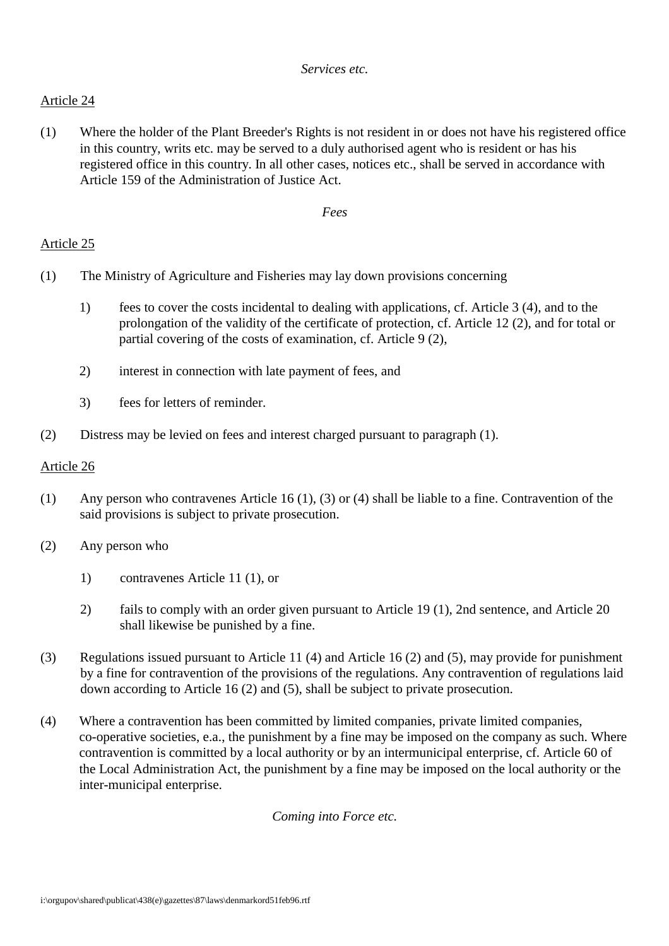(1) Where the holder of the Plant Breeder's Rights is not resident in or does not have his registered office in this country, writs etc. may be served to a duly authorised agent who is resident or has his registered office in this country. In all other cases, notices etc., shall be served in accordance with Article 159 of the Administration of Justice Act.

*Fees*

# Article 25

- (1) The Ministry of Agriculture and Fisheries may lay down provisions concerning
	- 1) fees to cover the costs incidental to dealing with applications, cf. Article 3 (4), and to the prolongation of the validity of the certificate of protection, cf. Article 12 (2), and for total or partial covering of the costs of examination, cf. Article 9 (2),
	- 2) interest in connection with late payment of fees, and
	- 3) fees for letters of reminder.
- (2) Distress may be levied on fees and interest charged pursuant to paragraph (1).

## Article 26

- (1) Any person who contravenes Article 16 (1), (3) or (4) shall be liable to a fine. Contravention of the said provisions is subject to private prosecution.
- (2) Any person who
	- 1) contravenes Article 11 (1), or
	- 2) fails to comply with an order given pursuant to Article 19 (1), 2nd sentence, and Article 20 shall likewise be punished by a fine.
- (3) Regulations issued pursuant to Article 11 (4) and Article 16 (2) and (5), may provide for punishment by a fine for contravention of the provisions of the regulations. Any contravention of regulations laid down according to Article 16 (2) and (5), shall be subject to private prosecution.
- (4) Where a contravention has been committed by limited companies, private limited companies, co-operative societies, e.a., the punishment by a fine may be imposed on the company as such. Where contravention is committed by a local authority or by an intermunicipal enterprise, cf. Article 60 of the Local Administration Act, the punishment by a fine may be imposed on the local authority or the inter-municipal enterprise.

*Coming into Force etc.*